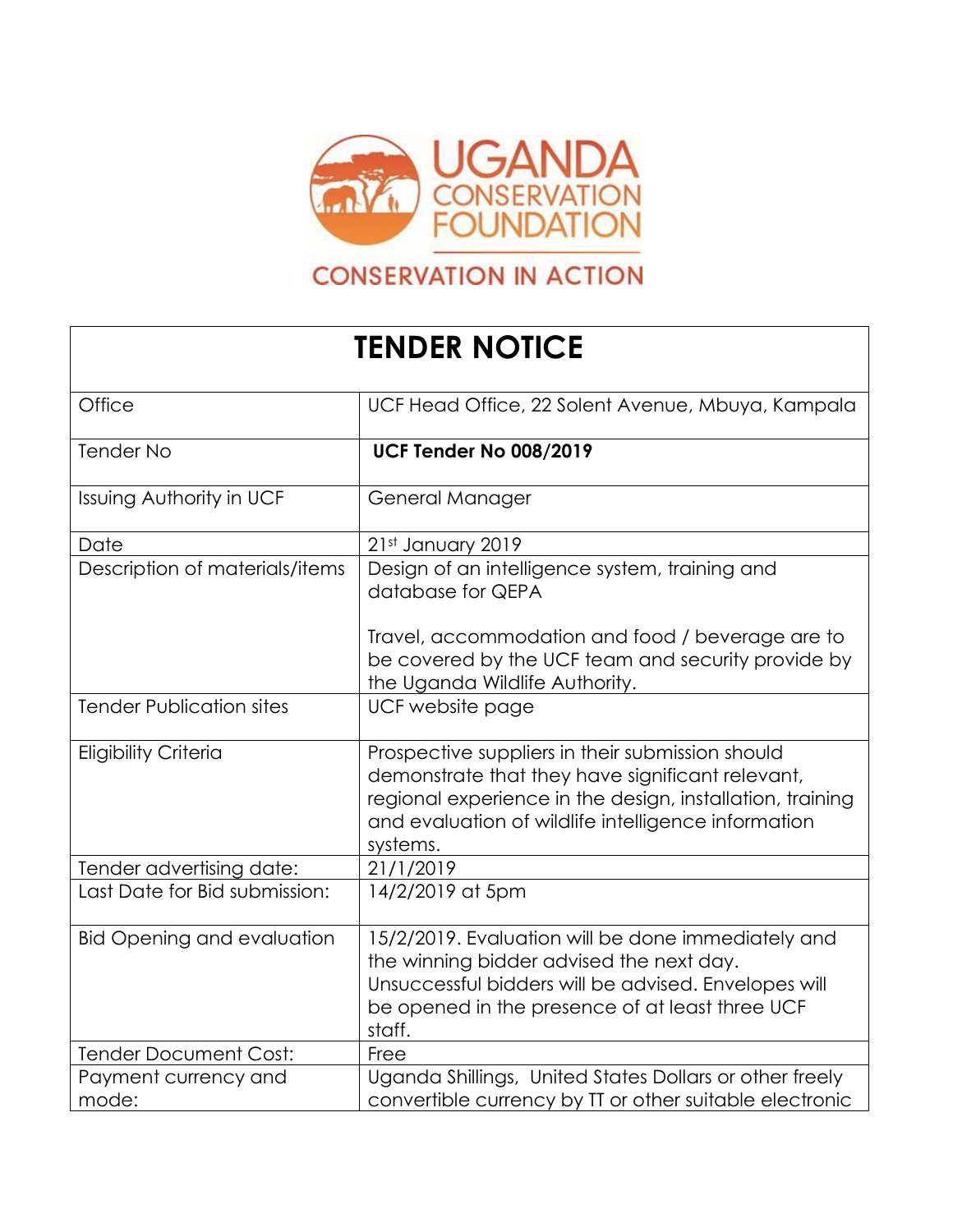

## **CONSERVATION IN ACTION**

## **TENDER NOTICE**

| Office                            | UCF Head Office, 22 Solent Avenue, Mbuya, Kampala                                                                                                                                                                                    |
|-----------------------------------|--------------------------------------------------------------------------------------------------------------------------------------------------------------------------------------------------------------------------------------|
| <b>Tender No</b>                  | <b>UCF Tender No 008/2019</b>                                                                                                                                                                                                        |
| <b>Issuing Authority in UCF</b>   | General Manager                                                                                                                                                                                                                      |
| Date                              | 21st January 2019                                                                                                                                                                                                                    |
| Description of materials/items    | Design of an intelligence system, training and<br>database for QEPA                                                                                                                                                                  |
|                                   | Travel, accommodation and food / beverage are to<br>be covered by the UCF team and security provide by<br>the Uganda Wildlife Authority.                                                                                             |
| <b>Tender Publication sites</b>   | UCF website page                                                                                                                                                                                                                     |
| <b>Eligibility Criteria</b>       | Prospective suppliers in their submission should<br>demonstrate that they have significant relevant,<br>regional experience in the design, installation, training<br>and evaluation of wildlife intelligence information<br>systems. |
| Tender advertising date:          | 21/1/2019                                                                                                                                                                                                                            |
| Last Date for Bid submission:     | 14/2/2019 at 5pm                                                                                                                                                                                                                     |
| <b>Bid Opening and evaluation</b> | 15/2/2019. Evaluation will be done immediately and<br>the winning bidder advised the next day.<br>Unsuccessful bidders will be advised. Envelopes will<br>be opened in the presence of at least three UCF<br>staff.                  |
| <b>Tender Document Cost:</b>      | Free                                                                                                                                                                                                                                 |
| Payment currency and<br>mode:     | Uganda Shillings, United States Dollars or other freely<br>convertible currency by TT or other suitable electronic                                                                                                                   |